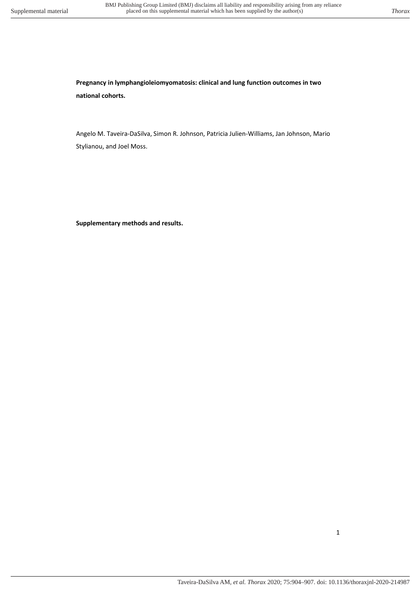**Pregnancy in lymphangioleiomyomatosis: clinical and lung function outcomes in two national cohorts.** 

Angelo M. Taveira-DaSilva, Simon R. Johnson, Patricia Julien-Williams, Jan Johnson, Mario Stylianou, and Joel Moss.

**Supplementary methods and results.**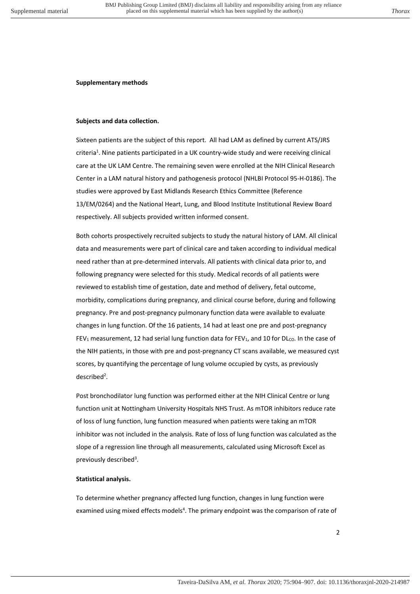## **Supplementary methods**

## **Subjects and data collection.**

Sixteen patients are the subject of this report. All had LAM as defined by current ATS/JRS criteria<sup>1</sup>. Nine patients participated in a UK country-wide study and were receiving clinical care at the UK LAM Centre. The remaining seven were enrolled at the NIH Clinical Research Center in a LAM natural history and pathogenesis protocol (NHLBI Protocol 95-H-0186). The studies were approved by East Midlands Research Ethics Committee (Reference 13/EM/0264) and the National Heart, Lung, and Blood Institute Institutional Review Board respectively. All subjects provided written informed consent.

Both cohorts prospectively recruited subjects to study the natural history of LAM. All clinical data and measurements were part of clinical care and taken according to individual medical need rather than at pre-determined intervals. All patients with clinical data prior to, and following pregnancy were selected for this study. Medical records of all patients were reviewed to establish time of gestation, date and method of delivery, fetal outcome, morbidity, complications during pregnancy, and clinical course before, during and following pregnancy. Pre and post-pregnancy pulmonary function data were available to evaluate changes in lung function. Of the 16 patients, 14 had at least one pre and post-pregnancy FEV<sub>1</sub> measurement, 12 had serial lung function data for FEV<sub>1</sub>, and 10 for DL<sub>co</sub>. In the case of the NIH patients, in those with pre and post-pregnancy CT scans available, we measured cyst scores, by quantifying the percentage of lung volume occupied by cysts, as previously described<sup>2</sup>.

Post bronchodilator lung function was performed either at the NIH Clinical Centre or lung function unit at Nottingham University Hospitals NHS Trust. As mTOR inhibitors reduce rate of loss of lung function, lung function measured when patients were taking an mTOR inhibitor was not included in the analysis. Rate of loss of lung function was calculated as the slope of a regression line through all measurements, calculated using Microsoft Excel as previously described<sup>3</sup>.

## **Statistical analysis.**

To determine whether pregnancy affected lung function, changes in lung function were examined using mixed effects models<sup>4</sup>. The primary endpoint was the comparison of rate of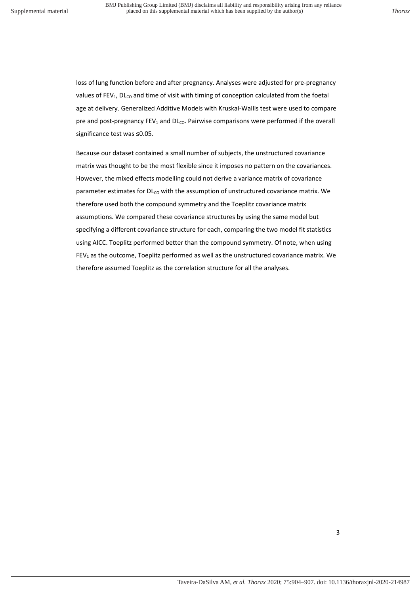loss of lung function before and after pregnancy. Analyses were adjusted for pre-pregnancy values of FEV<sub>1</sub>, DL<sub>CO</sub> and time of visit with timing of conception calculated from the foetal age at delivery. Generalized Additive Models with Kruskal-Wallis test were used to compare pre and post-pregnancy  $FEV_1$  and  $DL_{co}$ . Pairwise comparisons were performed if the overall significance test was ≤0.05.

Because our dataset contained a small number of subjects, the unstructured covariance matrix was thought to be the most flexible since it imposes no pattern on the covariances. However, the mixed effects modelling could not derive a variance matrix of covariance parameter estimates for  $D L_{CO}$  with the assumption of unstructured covariance matrix. We therefore used both the compound symmetry and the Toeplitz covariance matrix assumptions. We compared these covariance structures by using the same model but specifying a different covariance structure for each, comparing the two model fit statistics using AICC. Toeplitz performed better than the compound symmetry. Of note, when using FEV<sub>1</sub> as the outcome, Toeplitz performed as well as the unstructured covariance matrix. We therefore assumed Toeplitz as the correlation structure for all the analyses.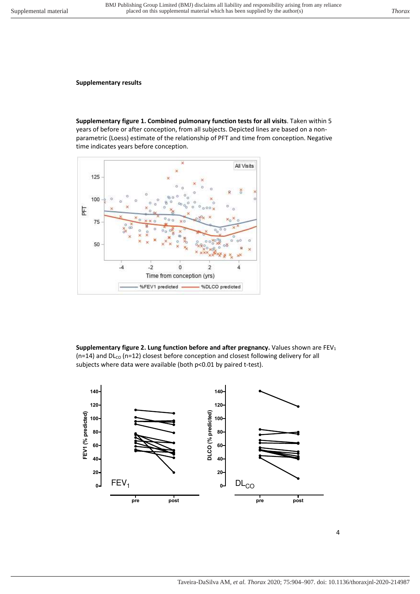**Supplementary results** 

**Supplementary figure 1. Combined pulmonary function tests for all visits**. Taken within 5 years of before or after conception, from all subjects. Depicted lines are based on a nonparametric (Loess) estimate of the relationship of PFT and time from conception. Negative time indicates years before conception.



**Supplementary figure 2. Lung function before and after pregnancy.** Values shown are FEV<sub>1</sub> ( $n=14$ ) and  $DL_{CO}$  ( $n=12$ ) closest before conception and closest following delivery for all subjects where data were available (both p<0.01 by paired t-test).

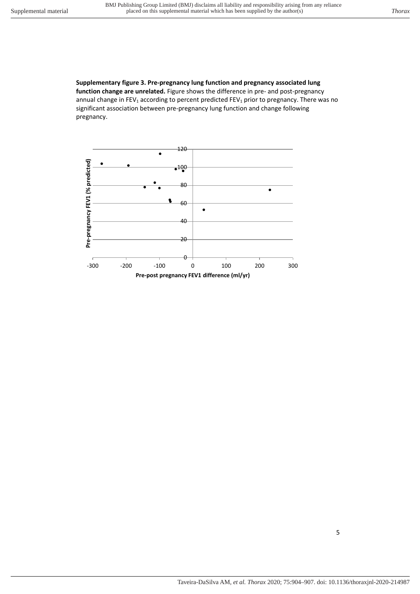pregnancy.

**Supplementary figure 3. Pre-pregnancy lung function and pregnancy associated lung function change are unrelated.** Figure shows the difference in pre- and post-pregnancy annual change in FEV<sub>1</sub> according to percent predicted FEV<sub>1</sub> prior to pregnancy. There was no significant association between pre-pregnancy lung function and change following